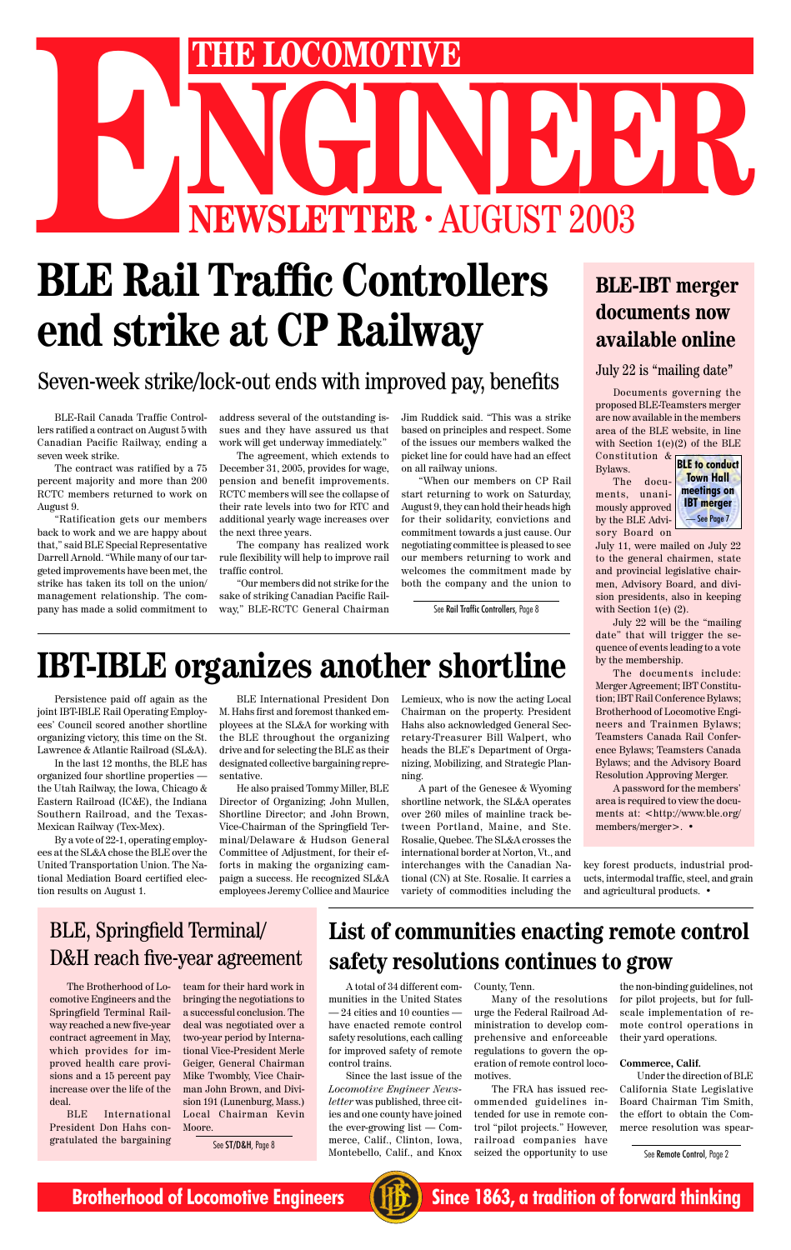

# THE LOCOMOTIVE<br>
NEWSLETTER · AUGUST 2003 **ENEWSLETTER · AUGUST 2003**<br>**BLE Rail Traffic Controllers**

# **BLE Rail Traffic Controllers end strike at CP Railway**

Documents governing the proposed BLE-Teamsters merger are now available in the members area of the BLE website, in line with Section 1(e)(2) of the BLE Constitution &

Bylaws. The documents, unani-

July 11, were mailed on July 22 to the general chairmen, state and provincial legislative chairmen, Advisory Board, and division presidents, also in keeping with Section 1(e) (2).

July 22 will be the "mailing date" that will trigger the sequence of events leading to a vote by the membership.

The documents include: Merger Agreement; IBT Constitution; IBT Rail Conference Bylaws; Brotherhood of Locomotive Engineers and Trainmen Bylaws; Teamsters Canada Rail Conference Bylaws; Teamsters Canada Bylaws; and the Advisory Board Resolution Approving Merger.

A password for the members' area is required to view the documents at: <http://www.ble.org/ members/merger>. •

## **BLE-IBT merger documents now available online**

#### July 22 is "mailing date"

BLE-Rail Canada Traffic Controllers ratified a contract on August 5 with Canadian Pacific Railway, ending a seven week strike.

The contract was ratified by a 75 percent majority and more than 200 RCTC members returned to work on August 9.

"Ratification gets our members back to work and we are happy about that," said BLE Special Representative Darrell Arnold. "While many of our targeted improvements have been met, the strike has taken its toll on the union/ management relationship. The company has made a solid commitment to

address several of the outstanding issues and they have assured us that work will get underway immediately."

The agreement, which extends to December 31, 2005, provides for wage, pension and benefit improvements. RCTC members will see the collapse of their rate levels into two for RTC and additional yearly wage increases over the next three years.

The company has realized work rule flexibility will help to improve rail traffic control.

"Our members did not strike for the sake of striking Canadian Pacific Railway," BLE-RCTC General Chairman

Jim Ruddick said. "This was a strike based on principles and respect. Some of the issues our members walked the picket line for could have had an effect on all railway unions.

"When our members on CP Rail start returning to work on Saturday, August 9, they can hold their heads high for their solidarity, convictions and commitment towards a just cause. Our negotiating committee is pleased to see our members returning to work and welcomes the commitment made by both the company and the union to

See ST/D&H, Page 8 Therce, Calif., Clinton, Iowa, Tailroad companies have The See Remote Control, Page 2 The FRA has issued recommended guidelines intended for use in remote control "pilot projects." However, railroad companies have seized the opportunity to use

## Seven-week strike/lock-out ends with improved pay, benefits

Persistence paid off again as the joint IBT-IBLE Rail Operating Employees' Council scored another shortline organizing victory, this time on the St. Lawrence & Atlantic Railroad (SL&A).

In the last 12 months, the BLE has organized four shortline properties the Utah Railway, the Iowa, Chicago & Eastern Railroad (IC&E), the Indiana Southern Railroad, and the Texas-Mexican Railway (Tex-Mex).

By a vote of 22-1, operating employees at the SL&A chose the BLE over the United Transportation Union. The National Mediation Board certified election results on August 1.

# **IBT-IBLE organizes another shortline**

mously approved by the BLE Advisory Board on **BLE to conduct Town Hall meetings on IBT merger** — See Page 7

BLE International President Don M. Hahs first and foremost thanked employees at the SL&A for working with the BLE throughout the organizing drive and for selecting the BLE as their designated collective bargaining representative.

He also praised Tommy Miller, BLE Director of Organizing; John Mullen, Shortline Director; and John Brown, Vice-Chairman of the Springfield Terminal/Delaware & Hudson General Committee of Adjustment, for their efforts in making the organizing campaign a success. He recognized SL&A employees Jeremy Collice and Maurice Lemieux, who is now the acting Local Chairman on the property. President Hahs also acknowledged General Secretary-Treasurer Bill Walpert, who heads the BLE's Department of Organizing, Mobilizing, and Strategic Planning.

A part of the Genesee & Wyoming shortline network, the SL&A operates over 260 miles of mainline track between Portland, Maine, and Ste. Rosalie, Quebec. The SL&A crosses the international border at Norton, Vt., and interchanges with the Canadian National (CN) at Ste. Rosalie. It carries a variety of commodities including the

key forest products, industrial products, intermodal traffic, steel, and grain and agricultural products. •

# **List of communities enacting remote control safety resolutions continues to grow**

A total of 34 different communities in the United States — 24 cities and 10 counties have enacted remote control safety resolutions, each calling for improved safety of remote control trains.

Since the last issue of the *Locomotive Engineer Newsletter* was published, three cities and one county have joined the ever-growing list — Commerce, Calif., Clinton, Iowa,

County, Tenn.

Many of the resolutions urge the Federal Railroad Administration to develop comprehensive and enforceable regulations to govern the operation of remote control locomotives.

the non-binding guidelines, not for pilot projects, but for fullscale implementation of remote control operations in their yard operations.

#### **Commerce, Calif.**

Under the direction of BLE California State Legislative Board Chairman Tim Smith, the effort to obtain the Commerce resolution was spear-

## BLE, Springfield Terminal/ D&H reach five-year agreement

The Brotherhood of Locomotive Engineers and the Springfield Terminal Railway reached a new five-year contract agreement in May, which provides for improved health care provisions and a 15 percent pay increase over the life of the deal.

BLE International President Don Hahs congratulated the bargaining

team for their hard work in bringing the negotiations to a successful conclusion. The deal was negotiated over a two-year period by International Vice-President Merle Geiger, General Chairman Mike Twombly, Vice Chairman John Brown, and Division 191 (Lunenburg, Mass.) Local Chairman Kevin Moore.

See Rail Traffic Controllers, Page 8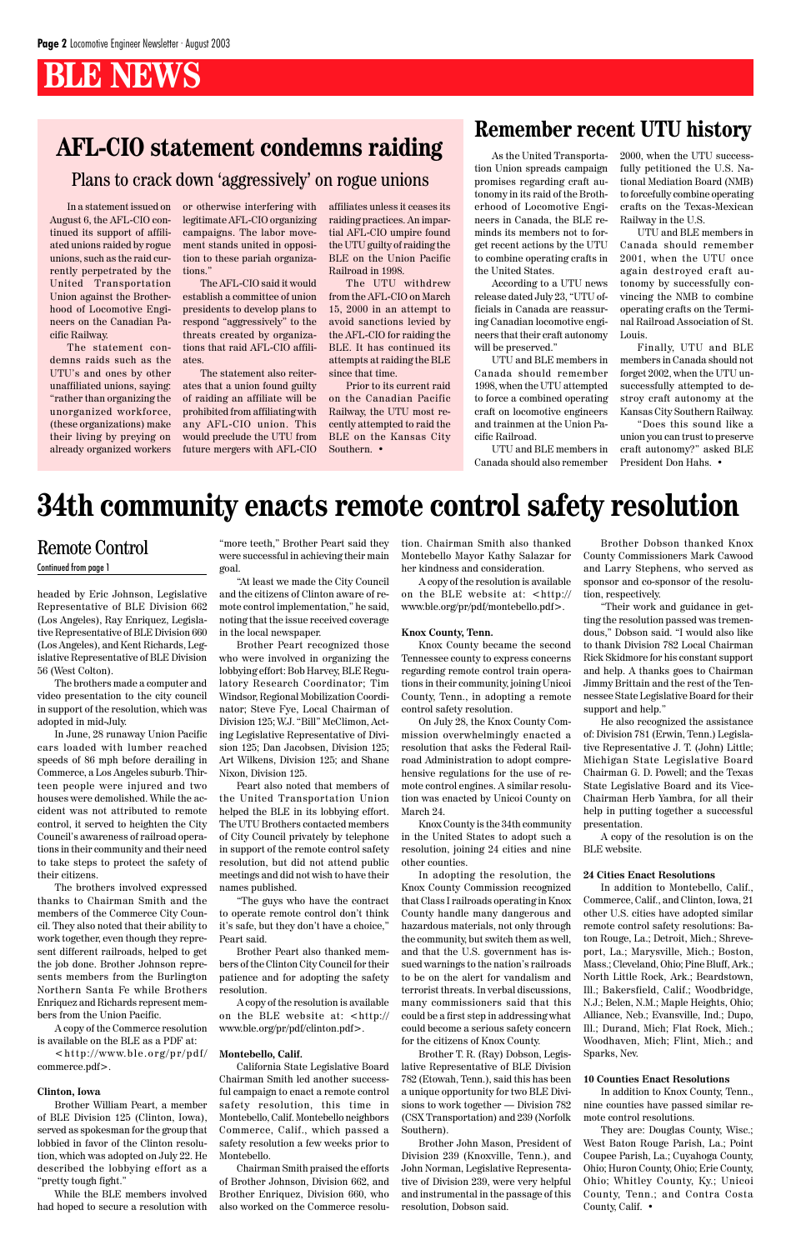# **BLE NEWS**

# **Remember recent UTU history**<br>AFL-CIO statement condemns raiding<br>As the United Transporta-2000, when the UTU success-

headed by Eric Johnson, Legislative Representative of BLE Division 662 (Los Angeles), Ray Enriquez, Legislative Representative of BLE Division 660 (Los Angeles), and Kent Richards, Legislative Representative of BLE Division 56 (West Colton).

The brothers made a computer and video presentation to the city council in support of the resolution, which was adopted in mid-July.

In June, 28 runaway Union Pacific cars loaded with lumber reached speeds of 86 mph before derailing in Commerce, a Los Angeles suburb. Thirteen people were injured and two houses were demolished. While the accident was not attributed to remote control, it served to heighten the City Council's awareness of railroad operations in their community and their need to take steps to protect the safety of their citizens.

 $\langle http://www.ble.org(pr/pd)]$ commerce.pdf>.

The brothers involved expressed thanks to Chairman Smith and the members of the Commerce City Coun-

cil. They also noted that their ability to work together, even though they represent different railroads, helped to get the job done. Brother Johnson represents members from the Burlington Northern Santa Fe while Brothers Enriquez and Richards represent members from the Union Pacific.

A copy of the Commerce resolution is available on the BLE as a PDF at:

#### **Clinton, Iowa**

Brother William Peart, a member of BLE Division 125 (Clinton, Iowa), served as spokesman for the group that lobbied in favor of the Clinton resolution, which was adopted on July 22. He described the lobbying effort as a "pretty tough fight."

While the BLE members involved had hoped to secure a resolution with

"more teeth," Brother Peart said they were successful in achieving their main goal.

"At least we made the City Council and the citizens of Clinton aware of remote control implementation," he said, noting that the issue received coverage in the local newspaper.

Brother Peart recognized those who were involved in organizing the lobbying effort: Bob Harvey, BLE Regulatory Research Coordinator; Tim Windsor, Regional Mobilization Coordinator; Steve Fye, Local Chairman of Division 125; W.J. "Bill" McClimon, Acting Legislative Representative of Division 125; Dan Jacobsen, Division 125; Art Wilkens, Division 125; and Shane Nixon, Division 125.

Peart also noted that members of the United Transportation Union helped the BLE in its lobbying effort. The UTU Brothers contacted members of City Council privately by telephone in support of the remote control safety resolution, but did not attend public meetings and did not wish to have their names published.

"The guys who have the contract to operate remote control don't think

it's safe, but they don't have a choice," Peart said.

Brother Peart also thanked members of the Clinton City Council for their patience and for adopting the safety resolution.

A copy of the resolution is available on the BLE website at: <http:// www.ble.org/pr/pdf/clinton.pdf>.

#### **Montebello, Calif.**

California State Legislative Board Chairman Smith led another successful campaign to enact a remote control safety resolution, this time in Montebello, Calif. Montebello neighbors Commerce, Calif., which passed a safety resolution a few weeks prior to Montebello.

Chairman Smith praised the efforts of Brother Johnson, Division 662, and Brother Enriquez, Division 660, who also worked on the Commerce resolution. Chairman Smith also thanked Montebello Mayor Kathy Salazar for her kindness and consideration.

A copy of the resolution is available on the BLE website at: <http:// www.ble.org/pr/pdf/montebello.pdf>.

#### **Knox County, Tenn.**

Knox County became the second Tennessee county to express concerns regarding remote control train operations in their community, joining Unicoi County, Tenn., in adopting a remote control safety resolution.

On July 28, the Knox County Commission overwhelmingly enacted a resolution that asks the Federal Railroad Administration to adopt comprehensive regulations for the use of remote control engines. A similar resolution was enacted by Unicoi County on March 24.

Knox County is the 34th community in the United States to adopt such a resolution, joining 24 cities and nine other counties.

In adopting the resolution, the Knox County Commission recognized that Class I railroads operating in Knox County handle many dangerous and

hazardous materials, not only through the community, but switch them as well, and that the U.S. government has issued warnings to the nation's railroads to be on the alert for vandalism and terrorist threats. In verbal discussions, many commissioners said that this could be a first step in addressing what could become a serious safety concern for the citizens of Knox County.

Brother T. R. (Ray) Dobson, Legislative Representative of BLE Division 782 (Etowah, Tenn.), said this has been a unique opportunity for two BLE Divisions to work together — Division 782 (CSX Transportation) and 239 (Norfolk Southern).

Brother John Mason, President of Division 239 (Knoxville, Tenn.), and John Norman, Legislative Representative of Division 239, were very helpful and instrumental in the passage of this resolution, Dobson said.

Brother Dobson thanked Knox County Commissioners Mark Cawood and Larry Stephens, who served as sponsor and co-sponsor of the resolution, respectively.

"Their work and guidance in getting the resolution passed was tremendous," Dobson said. "I would also like to thank Division 782 Local Chairman Rick Skidmore for his constant support and help. A thanks goes to Chairman Jimmy Brittain and the rest of the Tennessee State Legislative Board for their support and help."

He also recognized the assistance of: Division 781 (Erwin, Tenn.) Legislative Representative J. T. (John) Little; Michigan State Legislative Board Chairman G. D. Powell; and the Texas State Legislative Board and its Vice-Chairman Herb Yambra, for all their help in putting together a successful presentation.

A copy of the resolution is on the BLE website.

#### **24 Cities Enact Resolutions**

In addition to Montebello, Calif., Commerce, Calif., and Clinton, Iowa, 21 other U.S. cities have adopted similar

remote control safety resolutions: Baton Rouge, La.; Detroit, Mich.; Shreveport, La.; Marysville, Mich.; Boston, Mass.; Cleveland, Ohio; Pine Bluff, Ark.; North Little Rock, Ark.; Beardstown, Ill.; Bakersfield, Calif.; Woodbridge, N.J.; Belen, N.M.; Maple Heights, Ohio; Alliance, Neb.; Evansville, Ind.; Dupo, Ill.; Durand, Mich; Flat Rock, Mich.; Woodhaven, Mich; Flint, Mich.; and Sparks, Nev.

#### **10 Counties Enact Resolutions**

In addition to Knox County, Tenn., nine counties have passed similar remote control resolutions.

They are: Douglas County, Wisc.; West Baton Rouge Parish, La.; Point Coupee Parish, La.; Cuyahoga County, Ohio; Huron County, Ohio; Erie County, Ohio; Whitley County, Ky.; Unicoi County, Tenn.; and Contra Costa County, Calif. •

## Remote Control

#### Continued from page 1

# **34th community enacts remote control safety resolution**

In a statement issued on August 6, the AFL-CIO continued its support of affiliated unions raided by rogue unions, such as the raid currently perpetrated by the United Transportation Union against the Brotherhood of Locomotive Engineers on the Canadian Pacific Railway.

The statement condemns raids such as the UTU's and ones by other unaffiliated unions, saying: "rather than organizing the unorganized workforce, (these organizations) make their living by preying on already organized workers

or otherwise interfering with legitimate AFL-CIO organizing campaigns. The labor movement stands united in opposition to these pariah organizations."

The AFL-CIO said it would establish a committee of union presidents to develop plans to respond "aggressively" to the threats created by organizations that raid AFL-CIO affiliates.

The statement also reiterates that a union found guilty of raiding an affiliate will be prohibited from affiliating with any AFL-CIO union. This would preclude the UTU from future mergers with AFL-CIO

affiliates unless it ceases its raiding practices. An impartial AFL-CIO umpire found the UTU guilty of raiding the BLE on the Union Pacific Railroad in 1998.

The UTU withdrew from the AFL-CIO on March 15, 2000 in an attempt to avoid sanctions levied by the AFL-CIO for raiding the BLE. It has continued its attempts at raiding the BLE since that time.

Prior to its current raid on the Canadian Pacific Railway, the UTU most recently attempted to raid the BLE on the Kansas City Southern. •

As the United Transportation Union spreads campaign promises regarding craft autonomy in its raid of the Brotherhood of Locomotive Engineers in Canada, the BLE reminds its members not to forget recent actions by the UTU to combine operating crafts in the United States.

According to a UTU news release dated July 23, "UTU officials in Canada are reassuring Canadian locomotive engineers that their craft autonomy will be preserved."

UTU and BLE members in Canada should remember 1998, when the UTU attempted to force a combined operating craft on locomotive engineers and trainmen at the Union Pacific Railroad.

UTU and BLE members in Canada should also remember 2000, when the UTU successfully petitioned the U.S. National Mediation Board (NMB) to forcefully combine operating crafts on the Texas-Mexican Railway in the U.S.

UTU and BLE members in Canada should remember 2001, when the UTU once again destroyed craft autonomy by successfully convincing the NMB to combine operating crafts on the Terminal Railroad Association of St. Louis.

Finally, UTU and BLE members in Canada should not forget 2002, when the UTU unsuccessfully attempted to destroy craft autonomy at the Kansas City Southern Railway.

"Does this sound like a union you can trust to preserve craft autonomy?" asked BLE President Don Hahs. •

Plans to crack down 'aggressively' on rogue unions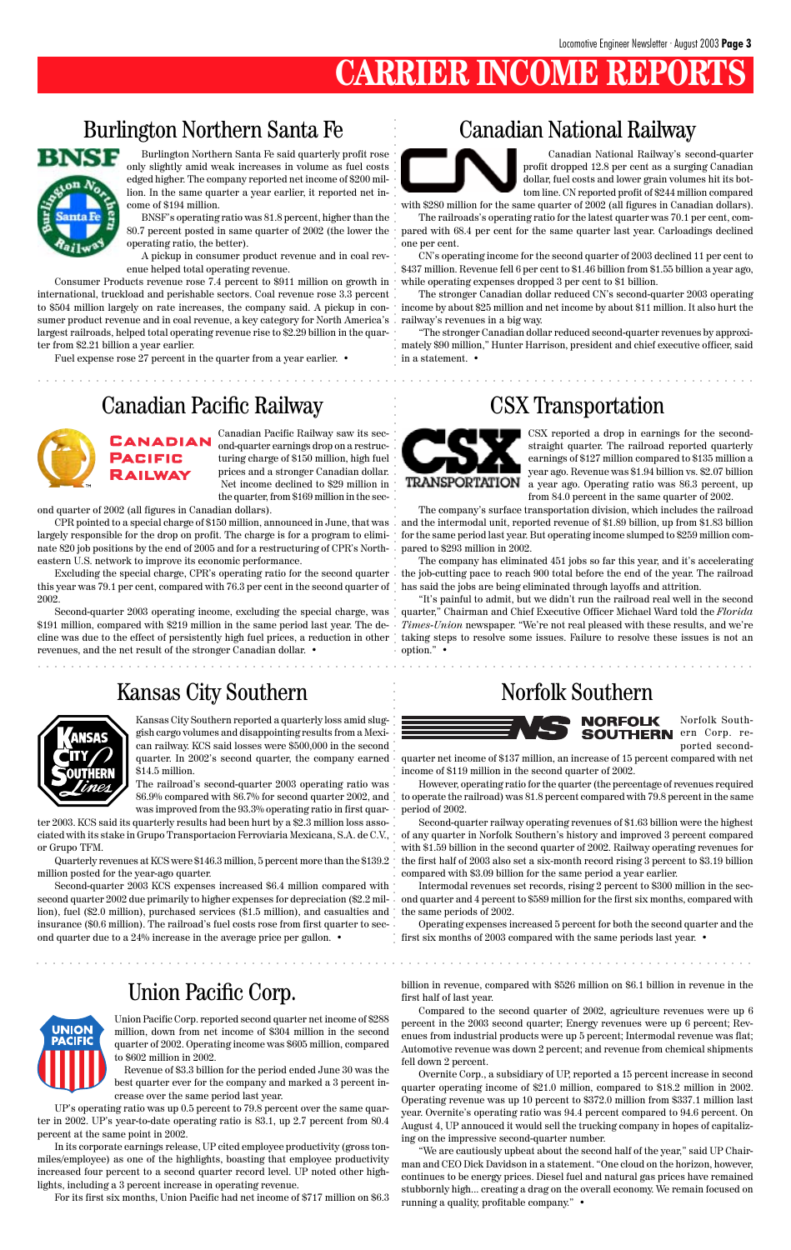# **CARRIER INCOME REPORT**

# Burlington Northern Santa Fe Canadian National Railway



Burlington Northern Santa Fe said quarterly profit rose only slightly amid weak increases in volume as fuel costs edged higher. The company reported net income of \$200 million. In the same quarter a year earlier, it reported net income of \$194 million.

BNSF's operating ratio was 81.8 percent, higher than the 80.7 percent posted in same quarter of 2002 (the lower the operating ratio, the better).

A pickup in consumer product revenue and in coal revenue helped total operating revenue.

Fuel expense rose 27 percent in the quarter from a year earlier. •

Canadian National Railway's second-quarter profit dropped 12.8 per cent as a surging Canadian dollar, fuel costs and lower grain volumes hit its bottom line. CN reported profit of \$244 million compared

with \$280 million for the same quarter of 2002 (all figures in Canadian dollars). The railroads's operating ratio for the latest quarter was 70.1 per cent, compared with 68.4 per cent for the same quarter last year. Carloadings declined one per cent.

CN's operating income for the second quarter of 2003 declined 11 per cent to \$437 million. Revenue fell 6 per cent to \$1.46 billion from \$1.55 billion a year ago, while operating expenses dropped 3 per cent to \$1 billion.

The stronger Canadian dollar reduced CN's second-quarter 2003 operating income by about \$25 million and net income by about \$11 million. It also hurt the

"The stronger Canadian dollar reduced second-quarter revenues by approximately \$90 million," Hunter Harrison, president and chief executive officer, said in a statement. •

# Canadian Pacific Railway CSX Transportation



Canadian Pacific Railway saw its second-quarter earnings drop on a restructuring charge of \$150 million, high fuel prices and a stronger Canadian dollar. Net income declined to \$29 million in the quarter, from \$169 million in the sec-

ond quarter of 2002 (all figures in Canadian dollars).

CPR pointed to a special charge of \$150 million, announced in June, that was largely responsible for the drop on profit. The charge is for a program to eliminate 820 job positions by the end of 2005 and for a restructuring of CPR's Northeastern U.S. network to improve its economic performance.

Excluding the special charge, CPR's operating ratio for the second quarter this year was 79.1 per cent, compared with 76.3 per cent in the second quarter of 2002.

Second-quarter 2003 operating income, excluding the special charge, was \$191 million, compared with \$219 million in the same period last year. The decline was due to the effect of persistently high fuel prices, a reduction in other revenues, and the net result of the stronger Canadian dollar. •

# Kansas City Southern Norfolk Southern



Operating expenses increased 5 percent for both the second quarter and the  $\,$   $\,$  first six months of 2003 compared with the same periods last year.  $\,$ 

CSX reported a drop in earnings for the secondstraight quarter. The railroad reported quarterly earnings of \$127 million compared to \$135 million a year ago. Revenue was \$1.94 billion vs. \$2.07 billion a year ago. Operating ratio was 86.3 percent, up from 84.0 percent in the same quarter of 2002.

The company's surface transportation division, which includes the railroad and the intermodal unit, reported revenue of \$1.89 billion, up from \$1.83 billion for the same period last year. But operating income slumped to \$259 million compared to \$293 million in 2002.

The company has eliminated 451 jobs so far this year, and it's accelerating the job-cutting pace to reach 900 total before the end of the year. The railroad has said the jobs are being eliminated through layoffs and attrition.

"It's painful to admit, but we didn't run the railroad real well in the second quarter," Chairman and Chief Executive Officer Michael Ward told the *Florida Times-Union* newspaper. "We're not real pleased with these results, and we're taking steps to resolve some issues. Failure to resolve these issues is not an option." •



Kansas City Southern reported a quarterly loss amid sluggish cargo volumes and disappointing results from a Mexican railway. KCS said losses were \$500,000 in the second quarter. In 2002's second quarter, the company earned \$14.5 million.

The railroad's second-quarter 2003 operating ratio was 86.9% compared with 86.7% for second quarter 2002, and was improved from the 93.3% operating ratio in first quar-

Consumer Products revenue rose 7.4 percent to \$911 million on growth in international, truckload and perishable sectors. Coal revenue rose 3.3 percent to \$504 million largely on rate increases, the company said. A pickup in consumer product revenue and in coal revenue, a key category for North America's railway's revenues in a big way. largest railroads, helped total operating revenue rise to \$2.29 billion in the quarter from \$2.21 billion a year earlier. aaaaaaaaaaaaaaaaaaaaaaaaaaaaaaaaaaaaaaaaaaaaaaaaaaaaaaaaaaaaaaaaaaaaaaaaaaaaaaaaaaaaaaa aaaaaa aaaaaaaaaaaaaaaaaaaaaaaa aaaaaaaaaaaaaaaaa aaaaaaaaaaaaaaa aaaaaaaaaaaaaa aaaaaaaaaaaaaaaaa

ter 2003. KCS said its quarterly results had been hurt by a \$2.3 million loss associated with its stake in Grupo Transportacion Ferroviaria Mexicana, S.A. de C.V., or Grupo TFM.

Quarterly revenues at KCS were \$146.3 million, 5 percent more than the \$139.2 million posted for the year-ago quarter.

Second-quarter 2003 KCS expenses increased \$6.4 million compared with second quarter 2002 due primarily to higher expenses for depreciation (\$2.2 million), fuel (\$2.0 million), purchased services (\$1.5 million), and casualties and



insurance (\$0.6 million). The railroad's fuel costs rose from first quarter to second quarter due to a 24% increase in the average price per gallon. •



Norfolk Southern Corp. reported second-

quarter net income of \$137 million, an increase of 15 percent compared with net income of \$119 million in the second quarter of 2002.

However, operating ratio for the quarter (the percentage of revenues required to operate the railroad) was 81.8 percent compared with 79.8 percent in the same period of 2002.

Second-quarter railway operating revenues of \$1.63 billion were the highest of any quarter in Norfolk Southern's history and improved 3 percent compared with \$1.59 billion in the second quarter of 2002. Railway operating revenues for the first half of 2003 also set a six-month record rising 3 percent to \$3.19 billion compared with \$3.09 billion for the same period a year earlier.

Intermodal revenues set records, rising 2 percent to \$300 million in the second quarter and 4 percent to \$589 million for the first six months, compared with the same periods of 2002.

## Union Pacific Corp.

Union Pacific Corp. reported second quarter net income of \$288 million, down from net income of \$304 million in the second quarter of 2002. Operating income was \$605 million, compared to \$602 million in 2002.

#### Revenue of \$3.3 billion for the period ended June 30 was the best quarter ever for the company and marked a 3 percent increase over the same period last year.

UP's operating ratio was up 0.5 percent to 79.8 percent over the same quarter in 2002. UP's year-to-date operating ratio is 83.1, up 2.7 percent from 80.4 percent at the same point in 2002.

In its corporate earnings release, UP cited employee productivity (gross tonmiles/employee) as one of the highlights, boasting that employee productivity increased four percent to a second quarter record level. UP noted other highlights, including a 3 percent increase in operating revenue.

For its first six months, Union Pacific had net income of \$717 million on \$6.3

billion in revenue, compared with \$526 million on \$6.1 billion in revenue in the first half of last year.

Compared to the second quarter of 2002, agriculture revenues were up 6 percent in the 2003 second quarter; Energy revenues were up 6 percent; Revenues from industrial products were up 5 percent; Intermodal revenue was flat; Automotive revenue was down 2 percent; and revenue from chemical shipments fell down 2 percent.

Overnite Corp., a subsidiary of UP, reported a 15 percent increase in second quarter operating income of \$21.0 million, compared to \$18.2 million in 2002. Operating revenue was up 10 percent to \$372.0 million from \$337.1 million last year. Overnite's operating ratio was 94.4 percent compared to 94.6 percent. On August 4, UP annouced it would sell the trucking company in hopes of capitalizing on the impressive second-quarter number.

"We are cautiously upbeat about the second half of the year," said UP Chairman and CEO Dick Davidson in a statement. "One cloud on the horizon, however, continues to be energy prices. Diesel fuel and natural gas prices have remained stubbornly high... creating a drag on the overall economy. We remain focused on running a quality, profitable company." •

aaaaaaaaaaaaaaaaaaaaaaaaaaaaaaaaaaaaaaaaaaaaaaaaaaaaaaaaaaaaaaaaaaaaaaaaaaaaaaaaaaaaaaa

aaaaaaaaaaaaaaaaaaaaaaaaaaaaaaaaaaaaaaaaaaaaaaaaaaaaaaaaaaaaaaaaaaaaaaaaaaaaaaaaaaaaaaa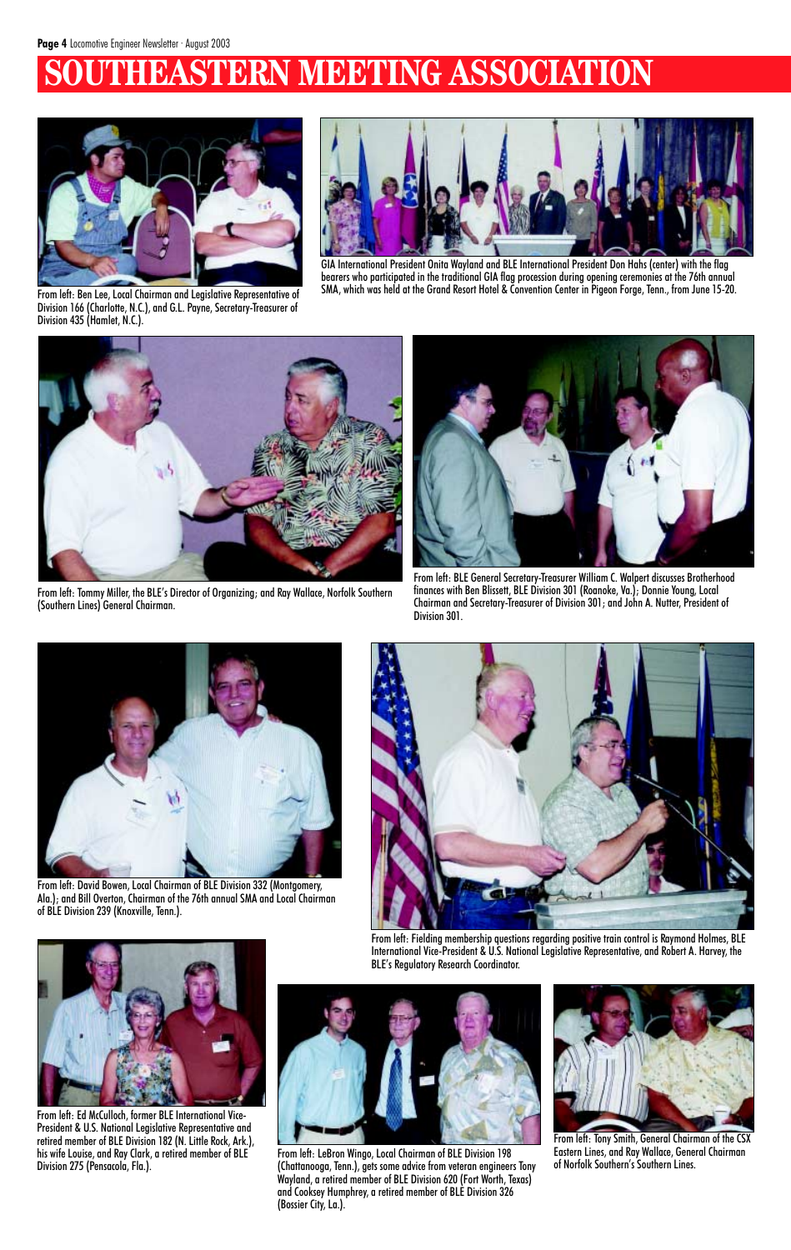# **EASTERN MEETING ASSOCIATION**



From left: Ben Lee, Local Chairman and Legislative Representative of Division 166 (Charlotte, N.C.), and G.L. Payne, Secretary-Treasurer of Division 435 (Hamlet, N.C.).



GIA International President Onita Wayland and BLE International President Don Hahs (center) with the flag bearers who participated in the traditional GIA flag procession during opening ceremonies at the 76th annual SMA, which was held at the Grand Resort Hotel & Convention Center in Pigeon Forge, Tenn., from June 15-20.



From left: BLE General Secretary-Treasurer William C. Walpert discusses Brotherhood finances with Ben Blissett, BLE Division 301 (Roanoke, Va.); Donnie Young, Local Chairman and Secretary-Treasurer of Division 301; and John A. Nutter, President of Division 301.



From left: Tommy Miller, the BLE's Director of Organizing; and Ray Wallace, Norfolk Southern (Southern Lines) General Chairman.



From left: David Bowen, Local Chairman of BLE Division 332 (Montgomery, Ala.); and Bill Overton, Chairman of the 76th annual SMA and Local Chairman of BLE Division 239 (Knoxville, Tenn.).





From left: Fielding membership questions regarding positive train control is Raymond Holmes, BLE International Vice-President & U.S. National Legislative Representative, and Robert A. Harvey, the BLE's Regulatory Research Coordinator.



From left: Ed McCulloch, former BLE International Vice-President & U.S. National Legislative Representative and retired member of BLE Division 182 (N. Little Rock, Ark.), his wife Louise, and Ray Clark, a retired member of BLE Division 275 (Pensacola, Fla.).

From left: LeBron Wingo, Local Chairman of BLE Division 198 (Chattanooga, Tenn.), gets some advice from veteran engineers Tony Wayland, a retired member of BLE Division 620 (Fort Worth, Texas) and Cooksey Humphrey, a retired member of BLE Division 326 (Bossier City, La.).



From left: Tony Smith, General Chairman of the CSX Eastern Lines, and Ray Wallace, General Chairman of Norfolk Southern's Southern Lines.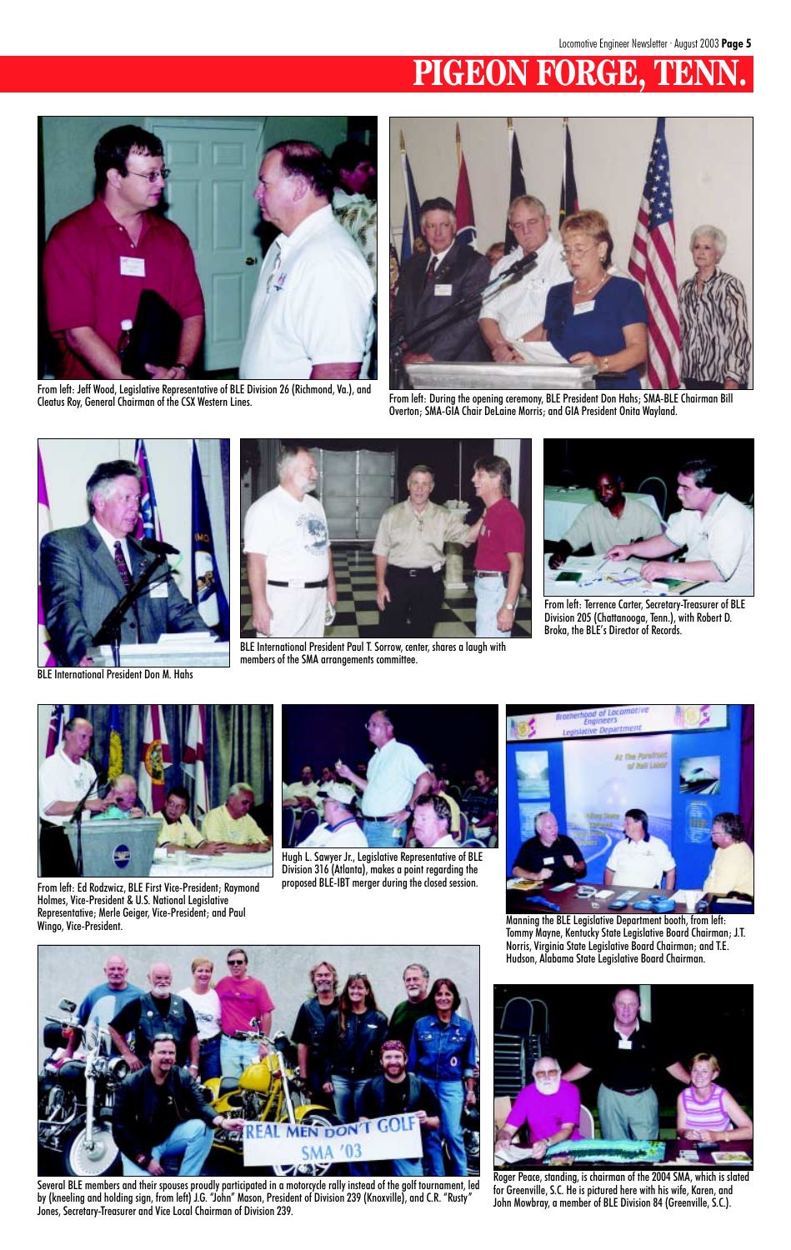# **PIGEON FORGE, TENN.**



From left: Jeff Wood, Legislative Representative of BLE Division 26 (Richmond, Va.), and



From left: During the opening ceremony, BLE President Don Hahs; SMA-BLE Chairman Bill Overton; SMA-GIA Chair DeLaine Morris; and GIA President Onita Wayland.



BLE International President Don M. Hahs



BLE International President Paul T. Sorrow, center, shares a laugh with members of the SMA arrangements committee.



From left: Terrence Carter, Secretary-Treasurer of BLE Division 205 (Chattanooga, Tenn.), with Robert D. Broka, the BLE's Director of Records.



From left: Ed Rodzwicz, BLE First Vice-President; Raymond Holmes, Vice-President & U.S. National Legislative Representative; Merle Geiger, Vice-President; and Paul

Wingo, Vice-President.





Hugh L. Sawyer Jr., Legislative Representative of BLE Division 316 (Atlanta), makes a point regarding the proposed BLE-IBT merger during the closed session.



Manning the BLE Legislative Department booth, from left: Tommy Mayne, Kentucky State Legislative Board Chairman; J.T. Norris, Virginia State Legislative Board Chairman; and T.E. Hudson, Alabama State Legislative Board Chairman.

Several BLE members and their spouses proudly participated in a motorcycle rally instead of the golf tournament, led by (kneeling and holding sign, from left) J.G. "John" Mason, President of Division 239 (Knoxville), and C.R. "Rusty" Jones, Secretary-Treasurer and Vice Local Chairman of Division 239.



Roger Peace, standing, is chairman of the 2004 SMA, which is slated for Greenville, S.C. He is pictured here with his wife, Karen, and John Mowbray, a member of BLE Division 84 (Greenville, S.C.).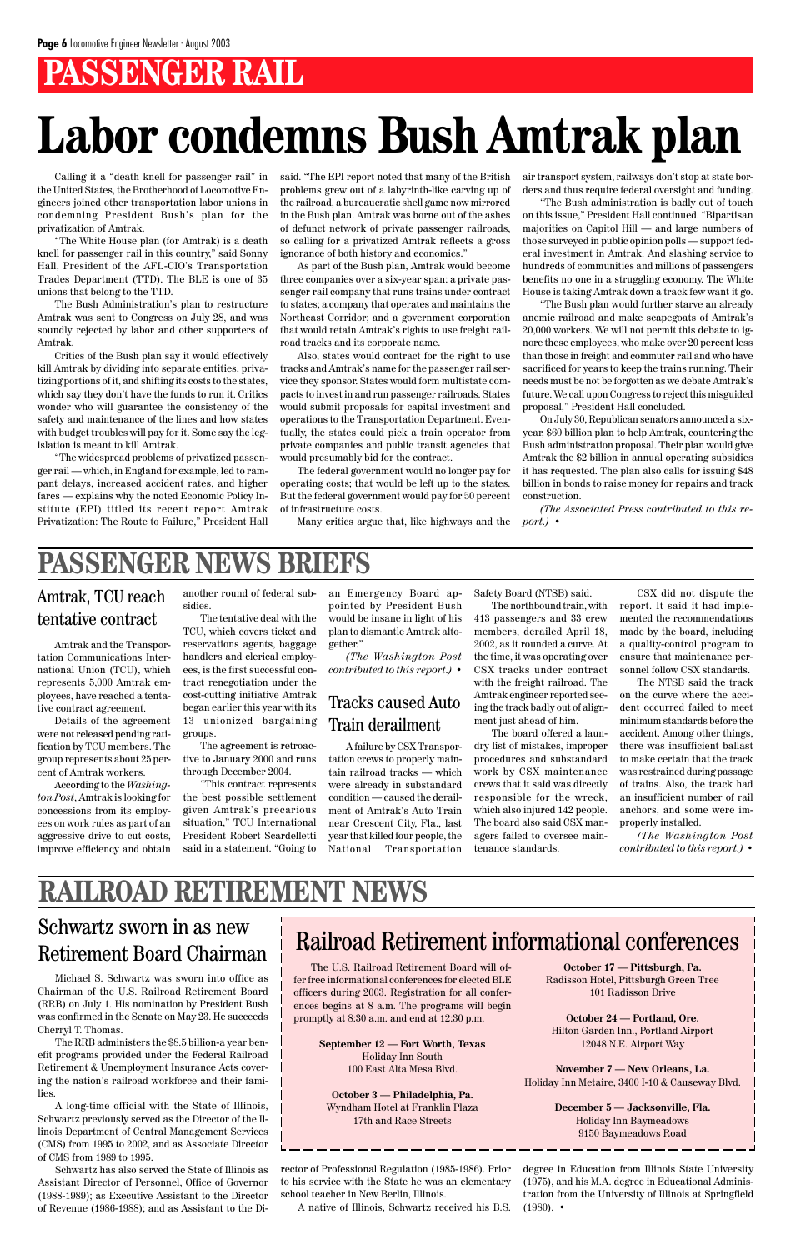# **PASSENGER RAIL**

# **Labor condemns Bush Amtrak plan**

Calling it a "death knell for passenger rail" in the United States, the Brotherhood of Locomotive Engineers joined other transportation labor unions in condemning President Bush's plan for the privatization of Amtrak.

"The White House plan (for Amtrak) is a death knell for passenger rail in this country," said Sonny Hall, President of the AFL-CIO's Transportation Trades Department (TTD). The BLE is one of 35 unions that belong to the TTD.

The Bush Administration's plan to restructure Amtrak was sent to Congress on July 28, and was soundly rejected by labor and other supporters of Amtrak.

Critics of the Bush plan say it would effectively kill Amtrak by dividing into separate entities, privatizing portions of it, and shifting its costs to the states, which say they don't have the funds to run it. Critics wonder who will guarantee the consistency of the safety and maintenance of the lines and how states with budget troubles will pay for it. Some say the legislation is meant to kill Amtrak.

"The widespread problems of privatized passenger rail — which, in England for example, led to rampant delays, increased accident rates, and higher fares — explains why the noted Economic Policy Institute (EPI) titled its recent report Amtrak Privatization: The Route to Failure," President Hall

said. "The EPI report noted that many of the British problems grew out of a labyrinth-like carving up of the railroad, a bureaucratic shell game now mirrored in the Bush plan. Amtrak was borne out of the ashes of defunct network of private passenger railroads, so calling for a privatized Amtrak reflects a gross ignorance of both history and economics."

As part of the Bush plan, Amtrak would become three companies over a six-year span: a private passenger rail company that runs trains under contract to states; a company that operates and maintains the Northeast Corridor; and a government corporation that would retain Amtrak's rights to use freight railroad tracks and its corporate name.

Also, states would contract for the right to use tracks and Amtrak's name for the passenger rail service they sponsor. States would form multistate compacts to invest in and run passenger railroads. States would submit proposals for capital investment and operations to the Transportation Department. Eventually, the states could pick a train operator from private companies and public transit agencies that would presumably bid for the contract.

The federal government would no longer pay for operating costs; that would be left up to the states. But the federal government would pay for 50 percent of infrastructure costs.

air transport system, railways don't stop at state borders and thus require federal oversight and funding.

degree in Education from Illinois State University (1975), and his M.A. degree in Educational Administration from the University of Illinois at Springfield  $(1980)$ . •

"The Bush administration is badly out of touch on this issue," President Hall continued. "Bipartisan majorities on Capitol Hill — and large numbers of those surveyed in public opinion polls — support federal investment in Amtrak. And slashing service to hundreds of communities and millions of passengers benefits no one in a struggling economy. The White House is taking Amtrak down a track few want it go.

Many critics argue that, like highways and the *port.)* •

"The Bush plan would further starve an already anemic railroad and make scapegoats of Amtrak's 20,000 workers. We will not permit this debate to ignore these employees, who make over 20 percent less than those in freight and commuter rail and who have sacrificed for years to keep the trains running. Their needs must be not be forgotten as we debate Amtrak's future. We call upon Congress to reject this misguided proposal," President Hall concluded.

On July 30, Republican senators announced a sixyear, \$60 billion plan to help Amtrak, countering the Bush administration proposal. Their plan would give Amtrak the \$2 billion in annual operating subsidies it has requested. The plan also calls for issuing \$48 billion in bonds to raise money for repairs and track construction.

*(The Associated Press contributed to this re-*

## Amtrak, TCU reach tentative contract

# **PASSENGER NEWS BRIEFS**

# Railroad Retirement informational conferences

The U.S. Railroad Retirement Board will offer free informational conferences for elected BLE officers during 2003. Registration for all conferences begins at 8 a.m. The programs will begin promptly at 8:30 a.m. and end at 12:30 p.m.

> **September 12 — Fort Worth, Texas** Holiday Inn South 100 East Alta Mesa Blvd.

**October 3 — Philadelphia, Pa.** Wyndham Hotel at Franklin Plaza 17th and Race Streets

**October 17 — Pittsburgh, Pa.** Radisson Hotel, Pittsburgh Green Tree 101 Radisson Drive

**October 24 — Portland, Ore.** Hilton Garden Inn., Portland Airport 12048 N.E. Airport Way

**November 7 — New Orleans, La.** Holiday Inn Metaire, 3400 I-10 & Causeway Blvd.

> **December 5 — Jacksonville, Fla.** Holiday Inn Baymeadows 9150 Baymeadows Road

Michael S. Schwartz was sworn into office as Chairman of the U.S. Railroad Retirement Board (RRB) on July 1. His nomination by President Bush was confirmed in the Senate on May 23. He succeeds Cherryl T. Thomas.

The RRB administers the \$8.5 billion-a year benefit programs provided under the Federal Railroad Retirement & Unemployment Insurance Acts covering the nation's railroad workforce and their families.

A long-time official with the State of Illinois, Schwartz previously served as the Director of the Illinois Department of Central Management Services (CMS) from 1995 to 2002, and as Associate Director of CMS from 1989 to 1995.

Schwartz has also served the State of Illinois as Assistant Director of Personnel, Office of Governor (1988-1989); as Executive Assistant to the Director of Revenue (1986-1988); and as Assistant to the Di-

## Schwartz sworn in as new Retirement Board Chairman

rector of Professional Regulation (1985-1986). Prior to his service with the State he was an elementary school teacher in New Berlin, Illinois.

A native of Illinois, Schwartz received his B.S.

Amtrak and the Transportation Communications International Union (TCU), which represents 5,000 Amtrak employees, have reached a tentative contract agreement.

Details of the agreement were not released pending ratification by TCU members. The group represents about 25 percent of Amtrak workers.

According to the *Washington Post*, Amtrak is looking for concessions from its employees on work rules as part of an aggressive drive to cut costs, improve efficiency and obtain

another round of federal subsidies.

> The tentative deal with the TCU, which covers ticket and reservations agents, baggage handlers and clerical employees, is the first successful contract renegotiation under the cost-cutting initiative Amtrak began earlier this year with its 13 unionized bargaining groups.

The agreement is retroactive to January 2000 and runs through December 2004.

"This contract represents the best possible settlement given Amtrak's precarious situation," TCU International President Robert Scardelletti said in a statement. "Going to an Emergency Board appointed by President Bush would be insane in light of his plan to dismantle Amtrak altogether."

*(The Washington Post contributed to this report.)* •

Safety Board (NTSB) said.

The northbound train, with 413 passengers and 33 crew members, derailed April 18, 2002, as it rounded a curve. At the time, it was operating over CSX tracks under contract with the freight railroad. The Amtrak engineer reported seeing the track badly out of alignment just ahead of him.

The board offered a laundry list of mistakes, improper procedures and substandard work by CSX maintenance crews that it said was directly responsible for the wreck, which also injured 142 people. The board also said CSX managers failed to oversee maintenance standards.

## Tracks caused Auto Train derailment

A failure by CSX Transportation crews to properly maintain railroad tracks — which were already in substandard condition — caused the derailment of Amtrak's Auto Train near Crescent City, Fla., last year that killed four people, the National Transportation

CSX did not dispute the report. It said it had implemented the recommendations made by the board, including a quality-control program to ensure that maintenance personnel follow CSX standards.

The NTSB said the track on the curve where the accident occurred failed to meet minimum standards before the accident. Among other things, there was insufficient ballast to make certain that the track was restrained during passage of trains. Also, the track had an insufficient number of rail anchors, and some were improperly installed.

*(The Washington Post contributed to this report.)* •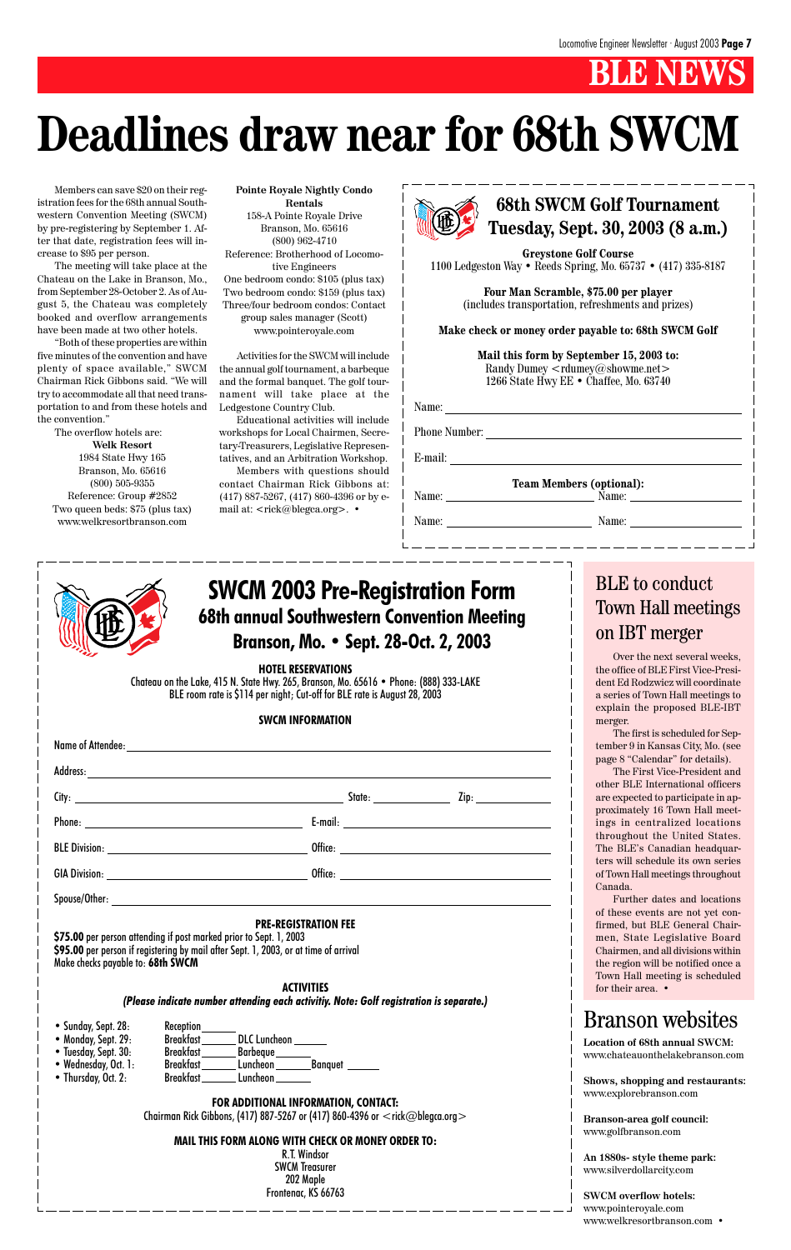# **B** NEW

## **68th SWCM Golf Tournament Tuesday, Sept. 30, 2003 (8 a.m.)**

**Greystone Golf Course** 1100 Ledgeston Way • Reeds Spring, Mo. 65737 • (417) 335-8187

| Name:                |                                 |  |
|----------------------|---------------------------------|--|
| <b>Phone Number:</b> |                                 |  |
| E-mail:              |                                 |  |
|                      | <b>Team Members (optional):</b> |  |
| Name:                | Name:                           |  |

**Four Man Scramble, \$75.00 per player** (includes transportation, refreshments and prizes)

**Make check or money order payable to: 68th SWCM Golf**

**Mail this form by September 15, 2003 to:** Randy Dumey <rdumey@showme.net> 1266 State Hwy EE • Chaffee, Mo. 63740

Name: Name:

**HOTEL RESERVATIONS**

Chateau on the Lake, 415 N. State Hwy. 265, Branson, Mo. 65616 • Phone: (888) 333-LAKE BLE room rate is \$114 per night; Cut-off for BLE rate is August 28, 2003

#### **SWCM INFORMATION**

|  | Zip: ________________ |
|--|-----------------------|
|  |                       |
|  |                       |
|  |                       |

#### **PRE-REGISTRATION FEE**

**\$75.00** per person attending if post marked prior to Sept. 1, 2003 **\$95.00** per person if registering by mail after Sept. 1, 2003, or at time of arrival Make checks payable to: **68th SWCM**

#### **ACTIVITIES** *(Please indicate number attending each activitiy. Note: Golf registration is separate.)*

- Sunday, Sept. 28: Reception
- 
- 
- 
- Thursday, Oct. 2: Breakfast \_\_\_\_\_\_\_\_ Luncheon

• Monday, Sept. 29: Breakfast \_\_\_\_\_\_ DLC Luncheon • Tuesday, Sept. 30: Breakfast Barbeque • Wednesday, Oct. 1: Breakfast \_\_\_\_\_\_ Luncheon \_\_\_\_\_\_\_\_ Banquet \_

#### **FOR ADDITIONAL INFORMATION, CONTACT:**

Chairman Rick Gibbons, (417) 887-5267 or (417) 860-4396 or <rick@blegca.org>

#### **MAIL THIS FORM ALONG WITH CHECK OR MONEY ORDER TO:**

R.T. Windsor SWCM Treasurer 202 Maple Frontenac, KS 66763

Members with questions should contact Chairman Rick Gibbons at: (417) 887-5267, (417) 860-4396 or by email at: <rick@blegca.org>. •



## **68th annual Southwestern Convention Meeting Branson, Mo. • Sept. 28-Oct. 2, 2003 SWCM 2003 Pre-Registration Form**

# **Deadlines draw near for 68th SWCM**

Members can save \$20 on their registration fees for the 68th annual Southwestern Convention Meeting (SWCM) by pre-registering by September 1. After that date, registration fees will increase to \$95 per person.

> firmed, but BLE General Chairmen, State Legislative Board Chairmen, and all divisions within the region will be notified once a Town Hall meeting is scheduled for their area.  $\bullet$

The meeting will take place at the Chateau on the Lake in Branson, Mo., from September 28-October 2. As of August 5, the Chateau was completely booked and overflow arrangements have been made at two other hotels.

"Both of these properties are within five minutes of the convention and have plenty of space available," SWCM Chairman Rick Gibbons said. "We will try to accommodate all that need transportation to and from these hotels and the convention."

The overflow hotels are: **Welk Resort** 1984 State Hwy 165 Branson, Mo. 65616 (800) 505-9355 Reference: Group #2852 Two queen beds: \$75 (plus tax) www.welkresortbranson.com

**Pointe Royale Nightly Condo Rentals** 158-A Pointe Royale Drive Branson, Mo. 65616 (800) 962-4710 Reference: Brotherhood of Locomotive Engineers One bedroom condo: \$105 (plus tax) Two bedroom condo: \$159 (plus tax) Three/four bedroom condos: Contact group sales manager (Scott) www.pointeroyale.com

Activities for the SWCM will include the annual golf tournament, a barbeque and the formal banquet. The golf tournament will take place at the Ledgestone Country Club.

Educational activities will include workshops for Local Chairmen, Secretary-Treasurers, Legislative Representatives, and an Arbitration Workshop.

> Over the next several weeks, the office of BLE First Vice-President Ed Rodzwicz will coordinate a series of Town Hall meetings to explain the proposed BLE-IBT merger.

> The first is scheduled for September 9 in Kansas City, Mo. (see page 8 "Calendar" for details).

> The First Vice-President and other BLE International officers are expected to participate in approximately 16 Town Hall meetings in centralized locations throughout the United States. The BLE's Canadian headquarters will schedule its own series of Town Hall meetings throughout Canada.

> Further dates and locations of these events are not yet con-

## BLE to conduct Town Hall meetings on IBT merger

**Location of 68th annual SWCM:** www.chateauonthelakebranson.com

**Shows, shopping and restaurants:** www.explorebranson.com

**Branson-area golf council:** www.golfbranson.com

**An 1880s- style theme park:** www.silverdollarcity.com

**SWCM overflow hotels:** www.pointeroyale.com www.welkresortbranson.com •

# Branson websites